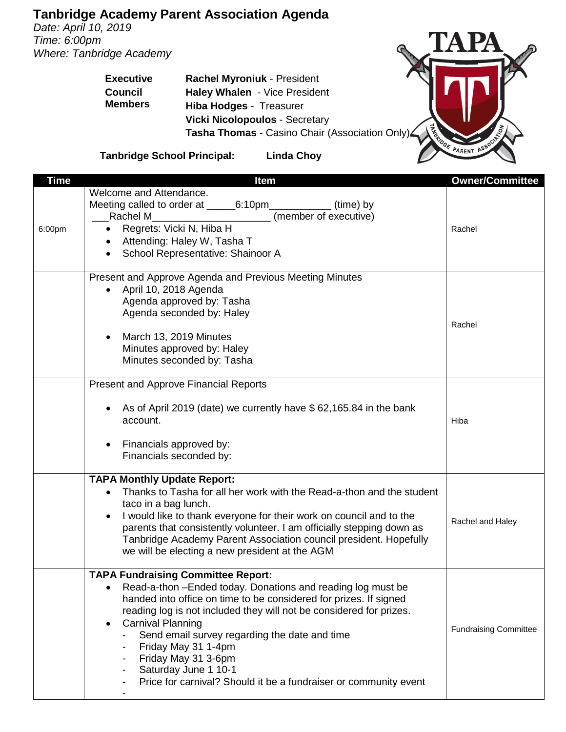## **Tanbridge Academy Parent Association Agenda**

*Date: April 10, 2019 Time: 6:00pm Where: Tanbridge Academy*

**Executive**

TA PA The Prince of Britain Prince of Britain Prince of Britain Prince of Britain Prince of Britain Prince of Britain Prince of Britain Prince of Britain Prince of Britain Prince of Britain Prince of Britain Prince of Britain Pr

**Council Members Haley Whalen** - Vice President **Hiba Hodges** - Treasurer **Vicki Nicolopoulos** - Secretary **Tasha Thomas** - Casino Chair (Association Only)

**Rachel Myroniuk** - President

**Tanbridge School Principal: Linda Choy**

| <b>Time</b> | Item                                                                                                                                                                                                                                                                                                                                                                                                                                                                        | <b>Owner/Committee</b>       |
|-------------|-----------------------------------------------------------------------------------------------------------------------------------------------------------------------------------------------------------------------------------------------------------------------------------------------------------------------------------------------------------------------------------------------------------------------------------------------------------------------------|------------------------------|
| 6:00pm      | Welcome and Attendance.<br>(member of executive)<br>Rachel M<br>Regrets: Vicki N, Hiba H<br>$\bullet$<br>Attending: Haley W, Tasha T<br>School Representative: Shainoor A<br>$\bullet$                                                                                                                                                                                                                                                                                      | Rachel                       |
|             | Present and Approve Agenda and Previous Meeting Minutes<br>April 10, 2018 Agenda<br>Agenda approved by: Tasha<br>Agenda seconded by: Haley<br>March 13, 2019 Minutes<br>Minutes approved by: Haley<br>Minutes seconded by: Tasha                                                                                                                                                                                                                                            | Rachel                       |
|             | <b>Present and Approve Financial Reports</b><br>As of April 2019 (date) we currently have \$62,165.84 in the bank<br>account.<br>Financials approved by:<br>Financials seconded by:                                                                                                                                                                                                                                                                                         | Hiba                         |
|             | <b>TAPA Monthly Update Report:</b><br>Thanks to Tasha for all her work with the Read-a-thon and the student<br>taco in a bag lunch.<br>I would like to thank everyone for their work on council and to the<br>parents that consistently volunteer. I am officially stepping down as<br>Tanbridge Academy Parent Association council president. Hopefully<br>we will be electing a new president at the AGM                                                                  | Rachel and Haley             |
|             | <b>TAPA Fundraising Committee Report:</b><br>Read-a-thon -Ended today. Donations and reading log must be<br>handed into office on time to be considered for prizes. If signed<br>reading log is not included they will not be considered for prizes.<br><b>Carnival Planning</b><br>Send email survey regarding the date and time<br>Friday May 31 1-4pm<br>Friday May 31 3-6pm<br>Saturday June 1 10-1<br>Price for carnival? Should it be a fundraiser or community event | <b>Fundraising Committee</b> |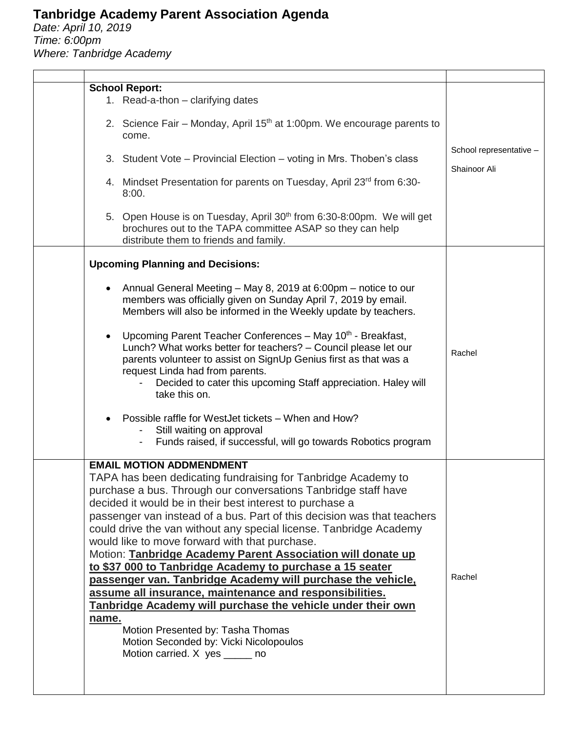## **Tanbridge Academy Parent Association Agenda**

*Date: April 10, 2019 Time: 6:00pm Where: Tanbridge Academy*

|           | <b>School Report:</b><br>1. Read-a-thon - clarifying dates                                                                                                                                                                                                                                                                                                                                                                                                                                                                                                                                                                                                                                                                                                                                                                                                              |                                         |
|-----------|-------------------------------------------------------------------------------------------------------------------------------------------------------------------------------------------------------------------------------------------------------------------------------------------------------------------------------------------------------------------------------------------------------------------------------------------------------------------------------------------------------------------------------------------------------------------------------------------------------------------------------------------------------------------------------------------------------------------------------------------------------------------------------------------------------------------------------------------------------------------------|-----------------------------------------|
|           | 2. Science Fair – Monday, April 15 <sup>th</sup> at 1:00pm. We encourage parents to<br>come.                                                                                                                                                                                                                                                                                                                                                                                                                                                                                                                                                                                                                                                                                                                                                                            |                                         |
|           | 3. Student Vote - Provincial Election - voting in Mrs. Thoben's class                                                                                                                                                                                                                                                                                                                                                                                                                                                                                                                                                                                                                                                                                                                                                                                                   | School representative -<br>Shainoor Ali |
|           | 4. Mindset Presentation for parents on Tuesday, April 23rd from 6:30-<br>8:00.                                                                                                                                                                                                                                                                                                                                                                                                                                                                                                                                                                                                                                                                                                                                                                                          |                                         |
|           | 5. Open House is on Tuesday, April 30 <sup>th</sup> from 6:30-8:00pm. We will get<br>brochures out to the TAPA committee ASAP so they can help<br>distribute them to friends and family.                                                                                                                                                                                                                                                                                                                                                                                                                                                                                                                                                                                                                                                                                |                                         |
|           | <b>Upcoming Planning and Decisions:</b>                                                                                                                                                                                                                                                                                                                                                                                                                                                                                                                                                                                                                                                                                                                                                                                                                                 |                                         |
| $\bullet$ | Annual General Meeting – May 8, 2019 at 6:00pm – notice to our<br>members was officially given on Sunday April 7, 2019 by email.<br>Members will also be informed in the Weekly update by teachers.<br>Upcoming Parent Teacher Conferences - May 10 <sup>th</sup> - Breakfast,<br>Lunch? What works better for teachers? - Council please let our<br>parents volunteer to assist on SignUp Genius first as that was a<br>request Linda had from parents.<br>Decided to cater this upcoming Staff appreciation. Haley will<br>take this on.                                                                                                                                                                                                                                                                                                                              | Rachel                                  |
|           | Possible raffle for WestJet tickets - When and How?<br>Still waiting on approval<br>Funds raised, if successful, will go towards Robotics program                                                                                                                                                                                                                                                                                                                                                                                                                                                                                                                                                                                                                                                                                                                       |                                         |
| name.     | <b>EMAIL MOTION ADDMENDMENT</b><br>TAPA has been dedicating fundraising for Tanbridge Academy to<br>purchase a bus. Through our conversations Tanbridge staff have<br>decided it would be in their best interest to purchase a<br>passenger van instead of a bus. Part of this decision was that teachers<br>could drive the van without any special license. Tanbridge Academy<br>would like to move forward with that purchase.<br>Motion: Tanbridge Academy Parent Association will donate up<br>to \$37 000 to Tanbridge Academy to purchase a 15 seater<br>passenger van. Tanbridge Academy will purchase the vehicle,<br>assume all insurance, maintenance and responsibilities.<br>Tanbridge Academy will purchase the vehicle under their own<br>Motion Presented by: Tasha Thomas<br>Motion Seconded by: Vicki Nicolopoulos<br>Motion carried. X yes ______ no | Rachel                                  |